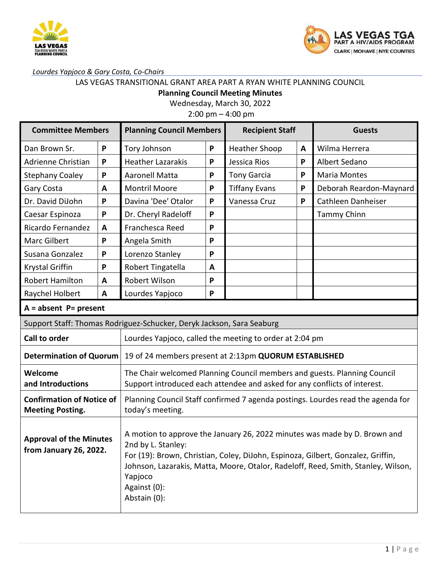



### *Lourdes Yapjoco & Gary Costa, Co-Chairs*

## LAS VEGAS TRANSITIONAL GRANT AREA PART A RYAN WHITE PLANNING COUNCIL

**Planning Council Meeting Minutes**

Wednesday, March 30, 2022

2:00 pm – 4:00 pm

| <b>Committee Members</b>                                              |                         | <b>Planning Council Members</b>                                                                                                                                                                                                                                                                                     |   | <b>Recipient Staff</b> |   | <b>Guests</b>           |  |
|-----------------------------------------------------------------------|-------------------------|---------------------------------------------------------------------------------------------------------------------------------------------------------------------------------------------------------------------------------------------------------------------------------------------------------------------|---|------------------------|---|-------------------------|--|
| Dan Brown Sr.                                                         | P                       | Tory Johnson                                                                                                                                                                                                                                                                                                        | P | <b>Heather Shoop</b>   | A | Wilma Herrera           |  |
| Adrienne Christian                                                    | P                       | <b>Heather Lazarakis</b>                                                                                                                                                                                                                                                                                            | P | Jessica Rios           | P | Albert Sedano           |  |
| <b>Stephany Coaley</b>                                                | P                       | <b>Aaronell Matta</b>                                                                                                                                                                                                                                                                                               | P | <b>Tony Garcia</b>     | P | <b>Maria Montes</b>     |  |
| Gary Costa                                                            | A                       | <b>Montril Moore</b>                                                                                                                                                                                                                                                                                                | P | <b>Tiffany Evans</b>   | P | Deborah Reardon-Maynard |  |
| Dr. David DiJohn                                                      | P                       | Davina 'Dee' Otalor                                                                                                                                                                                                                                                                                                 | P | Vanessa Cruz           | P | Cathleen Danheiser      |  |
| Caesar Espinoza                                                       | P                       | Dr. Cheryl Radeloff                                                                                                                                                                                                                                                                                                 | P |                        |   | <b>Tammy Chinn</b>      |  |
| Ricardo Fernandez                                                     | A                       | Franchesca Reed                                                                                                                                                                                                                                                                                                     | P |                        |   |                         |  |
| Marc Gilbert                                                          | P                       | Angela Smith                                                                                                                                                                                                                                                                                                        | P |                        |   |                         |  |
| Susana Gonzalez                                                       | P                       | Lorenzo Stanley                                                                                                                                                                                                                                                                                                     | P |                        |   |                         |  |
| <b>Krystal Griffin</b>                                                | P                       | Robert Tingatella                                                                                                                                                                                                                                                                                                   | A |                        |   |                         |  |
| <b>Robert Hamilton</b>                                                | A                       | Robert Wilson                                                                                                                                                                                                                                                                                                       | P |                        |   |                         |  |
| Raychel Holbert                                                       | A                       | Lourdes Yapjoco                                                                                                                                                                                                                                                                                                     | P |                        |   |                         |  |
|                                                                       | $A = absent$ P= present |                                                                                                                                                                                                                                                                                                                     |   |                        |   |                         |  |
| Support Staff: Thomas Rodriguez-Schucker, Deryk Jackson, Sara Seaburg |                         |                                                                                                                                                                                                                                                                                                                     |   |                        |   |                         |  |
| Call to order                                                         |                         | Lourdes Yapjoco, called the meeting to order at 2:04 pm                                                                                                                                                                                                                                                             |   |                        |   |                         |  |
| <b>Determination of Quorum</b>                                        |                         | 19 of 24 members present at 2:13pm QUORUM ESTABLISHED                                                                                                                                                                                                                                                               |   |                        |   |                         |  |
| Welcome<br>and Introductions                                          |                         | The Chair welcomed Planning Council members and guests. Planning Council<br>Support introduced each attendee and asked for any conflicts of interest.                                                                                                                                                               |   |                        |   |                         |  |
| <b>Confirmation of Notice of</b><br><b>Meeting Posting.</b>           |                         | Planning Council Staff confirmed 7 agenda postings. Lourdes read the agenda for<br>today's meeting.                                                                                                                                                                                                                 |   |                        |   |                         |  |
| <b>Approval of the Minutes</b><br>from January 26, 2022.              |                         | A motion to approve the January 26, 2022 minutes was made by D. Brown and<br>2nd by L. Stanley:<br>For (19): Brown, Christian, Coley, DiJohn, Espinoza, Gilbert, Gonzalez, Griffin,<br>Johnson, Lazarakis, Matta, Moore, Otalor, Radeloff, Reed, Smith, Stanley, Wilson,<br>Yapjoco<br>Against (0):<br>Abstain (0): |   |                        |   |                         |  |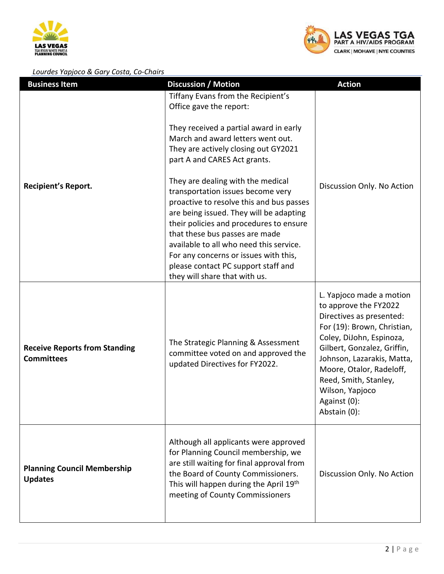



#### *Lourdes Yapjoco & Gary Costa, Co-Chairs*

| <u>Lourues rupped &amp; Oury Costa, Co-Chairs</u><br><b>Business Item</b> | <b>Discussion / Motion</b>                                                                                                                                                                                                                                                                                                                                                                             | <b>Action</b>                                                                                                                                                                                                                                                                                                 |
|---------------------------------------------------------------------------|--------------------------------------------------------------------------------------------------------------------------------------------------------------------------------------------------------------------------------------------------------------------------------------------------------------------------------------------------------------------------------------------------------|---------------------------------------------------------------------------------------------------------------------------------------------------------------------------------------------------------------------------------------------------------------------------------------------------------------|
|                                                                           | Tiffany Evans from the Recipient's<br>Office gave the report:                                                                                                                                                                                                                                                                                                                                          |                                                                                                                                                                                                                                                                                                               |
|                                                                           | They received a partial award in early<br>March and award letters went out.<br>They are actively closing out GY2021<br>part A and CARES Act grants.                                                                                                                                                                                                                                                    |                                                                                                                                                                                                                                                                                                               |
| <b>Recipient's Report.</b>                                                | They are dealing with the medical<br>transportation issues become very<br>proactive to resolve this and bus passes<br>are being issued. They will be adapting<br>their policies and procedures to ensure<br>that these bus passes are made<br>available to all who need this service.<br>For any concerns or issues with this,<br>please contact PC support staff and<br>they will share that with us. | Discussion Only. No Action                                                                                                                                                                                                                                                                                    |
| <b>Receive Reports from Standing</b><br><b>Committees</b>                 | The Strategic Planning & Assessment<br>committee voted on and approved the<br>updated Directives for FY2022.                                                                                                                                                                                                                                                                                           | L. Yapjoco made a motion<br>to approve the FY2022<br>Directives as presented:<br>For (19): Brown, Christian,<br>Coley, DiJohn, Espinoza,<br>Gilbert, Gonzalez, Griffin,<br>Johnson, Lazarakis, Matta,<br>Moore, Otalor, Radeloff,<br>Reed, Smith, Stanley,<br>Wilson, Yapjoco<br>Against (0):<br>Abstain (0): |
| <b>Planning Council Membership</b><br><b>Updates</b>                      | Although all applicants were approved<br>for Planning Council membership, we<br>are still waiting for final approval from<br>the Board of County Commissioners.<br>This will happen during the April 19th<br>meeting of County Commissioners                                                                                                                                                           | Discussion Only. No Action                                                                                                                                                                                                                                                                                    |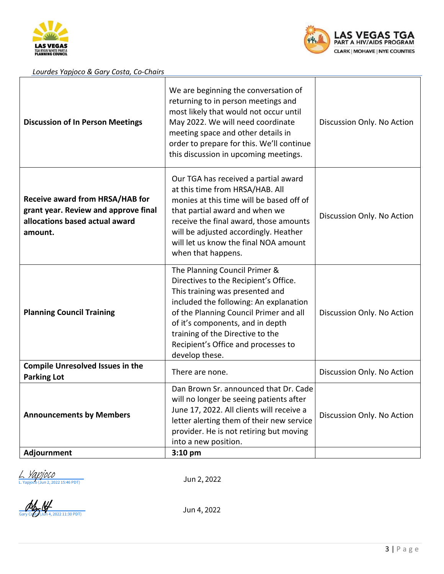



#### *Lourdes Yapjoco & Gary Costa, Co-Chairs*

| <b>Discussion of In Person Meetings</b>                                                                                     | We are beginning the conversation of<br>returning to in person meetings and<br>most likely that would not occur until<br>May 2022. We will need coordinate<br>meeting space and other details in<br>order to prepare for this. We'll continue<br>this discussion in upcoming meetings.                                         | Discussion Only. No Action |
|-----------------------------------------------------------------------------------------------------------------------------|--------------------------------------------------------------------------------------------------------------------------------------------------------------------------------------------------------------------------------------------------------------------------------------------------------------------------------|----------------------------|
| <b>Receive award from HRSA/HAB for</b><br>grant year. Review and approve final<br>allocations based actual award<br>amount. | Our TGA has received a partial award<br>at this time from HRSA/HAB. All<br>monies at this time will be based off of<br>that partial award and when we<br>receive the final award, those amounts<br>will be adjusted accordingly. Heather<br>will let us know the final NOA amount<br>when that happens.                        | Discussion Only. No Action |
| <b>Planning Council Training</b>                                                                                            | The Planning Council Primer &<br>Directives to the Recipient's Office.<br>This training was presented and<br>included the following: An explanation<br>of the Planning Council Primer and all<br>of it's components, and in depth<br>training of the Directive to the<br>Recipient's Office and processes to<br>develop these. | Discussion Only. No Action |
| <b>Compile Unresolved Issues in the</b><br><b>Parking Lot</b>                                                               | There are none.                                                                                                                                                                                                                                                                                                                | Discussion Only. No Action |
| <b>Announcements by Members</b>                                                                                             | Dan Brown Sr. announced that Dr. Cade<br>will no longer be seeing patients after<br>June 17, 2022. All clients will receive a<br>letter alerting them of their new service<br>provider. He is not retiring but moving<br>into a new position.                                                                                  | Discussion Only. No Action |
| Adjournment                                                                                                                 | $3:10$ pm                                                                                                                                                                                                                                                                                                                      |                            |

L. *VADJOCO*<br>[L. Yapjoco](https://na4.documents.adobe.com/verifier?tx=CBJCHBCAABAANOB04r25WWe7e-mojN_T9lxlMOxp3se_) (Jun 2, 2022 15:46 PDT)

Jun 2, 2022

 $\frac{M}{\frac{G_{\text{day}}}{\frac{G_{\text{day}}}{\frac{M}{\sqrt{N}}}}}{\frac{M}{\sqrt{N}}}}$  Jun 4, 2022